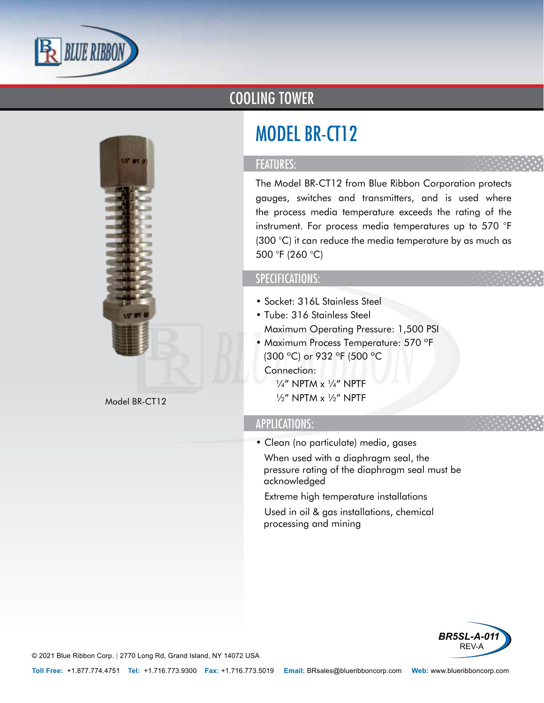

## COOLING TOWER

# MODEL BR-CT12

### FEATURES:

The Model BR-CT12 from Blue Ribbon Corporation protects gauges, switches and transmitters, and is used where the process media temperature exceeds the rating of the instrument. For process media temperatures up to 570 °F (300 °C) it can reduce the media temperature by as much as 500 °F (260 °C)

### SPECIFICATIONS:

- Socket: 316L Stainless Steel
- Tube: 316 Stainless Steel
- Maximum Operating Pressure: 1,500 PSI
- Maximum Process Temperature: 570 ºF (300 ºC) or 932 ºF (500 ºC
- Connection:  $\frac{1}{4}$ " NPTM x  $\frac{1}{4}$ " NPTF Model BR-CT12  $\frac{1}{2}$  WPTM x  $\frac{1}{2}$  NPTM x  $\frac{1}{2}$  NPTF

#### APPLICATIONS:

- Clean (no particulate) media, gases
- When used with a diaphragm seal, the pressure rating of the diaphragm seal must be acknowledged
- Extreme high temperature installations
- Used in oil & gas installations, chemical processing and mining



© 2021 Blue Ribbon Corp. *<sup>|</sup>* 2770 Long Rd, Grand Island, NY 14072 USA